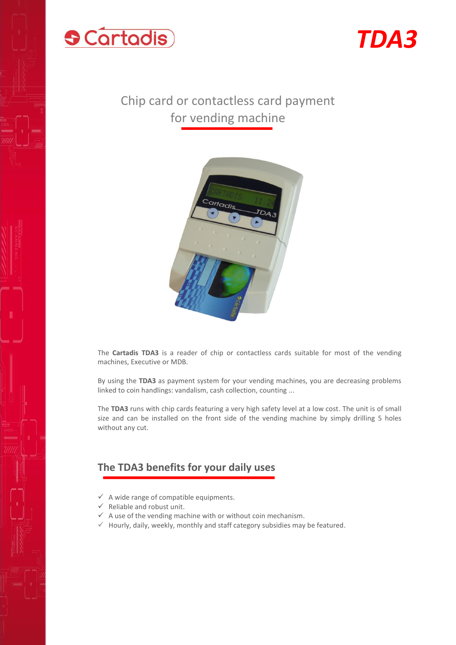



# Chip card or contactless card payment for vending machine



The **Cartadis TDA3** is a reader of chip or contactless cards suitable for most of the vending machines, Executive or MDB.

By using the **TDA3** as payment system for your vending machines, you are decreasing problems linked to coin handlings: vandalism, cash collection, counting ...

The **TDA3** runs with chip cards featuring a very high safety level at a low cost. The unit is of small size and can be installed on the front side of the vending machine by simply drilling 5 holes without any cut.

#### **The TDA3 benefits for your daily uses**

- $\checkmark$  A wide range of compatible equipments.
- $\checkmark$  Reliable and robust unit.
- $\checkmark$  A use of the vending machine with or without coin mechanism.
- $\checkmark$  Hourly, daily, weekly, monthly and staff category subsidies may be featured.